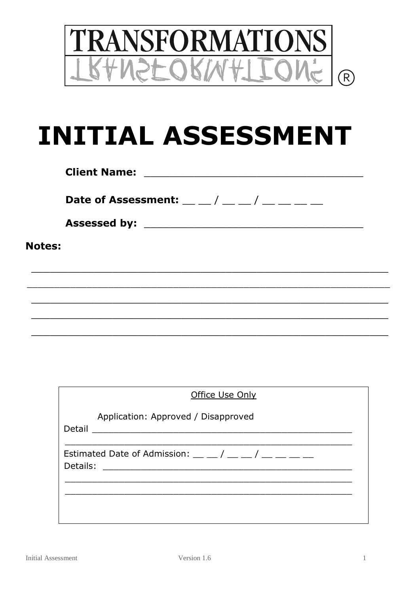

# **INITIAL ASSESSMENT**

|               | <b>Client Name:</b>                                                                                                                                                                                                                                                                                         |
|---------------|-------------------------------------------------------------------------------------------------------------------------------------------------------------------------------------------------------------------------------------------------------------------------------------------------------------|
|               | Date of Assessment: $\frac{1}{2}$ $\frac{1}{2}$ $\frac{1}{2}$ $\frac{1}{2}$ $\frac{1}{2}$ $\frac{1}{2}$ $\frac{1}{2}$ $\frac{1}{2}$ $\frac{1}{2}$ $\frac{1}{2}$ $\frac{1}{2}$ $\frac{1}{2}$ $\frac{1}{2}$ $\frac{1}{2}$ $\frac{1}{2}$ $\frac{1}{2}$ $\frac{1}{2}$ $\frac{1}{2}$ $\frac{1}{2}$ $\frac{1}{2}$ |
|               |                                                                                                                                                                                                                                                                                                             |
| <b>Notes:</b> |                                                                                                                                                                                                                                                                                                             |
|               |                                                                                                                                                                                                                                                                                                             |
|               |                                                                                                                                                                                                                                                                                                             |
|               |                                                                                                                                                                                                                                                                                                             |

| Office Use Only                                                                                                                                                                                                                                                                                                        |  |  |  |  |  |  |
|------------------------------------------------------------------------------------------------------------------------------------------------------------------------------------------------------------------------------------------------------------------------------------------------------------------------|--|--|--|--|--|--|
| Application: Approved / Disapproved<br>Detail<br><u> 1989 - Johann Stein, mars ar y breisinn ar y breisinn an chomhair an chomhair an chomhair an chomhair an chom</u>                                                                                                                                                 |  |  |  |  |  |  |
| Estimated Date of Admission: $\frac{1}{2}$ $\frac{1}{2}$ $\frac{1}{2}$ $\frac{1}{2}$ $\frac{1}{2}$ $\frac{1}{2}$ $\frac{1}{2}$ $\frac{1}{2}$ $\frac{1}{2}$ $\frac{1}{2}$ $\frac{1}{2}$ $\frac{1}{2}$ $\frac{1}{2}$ $\frac{1}{2}$ $\frac{1}{2}$ $\frac{1}{2}$ $\frac{1}{2}$ $\frac{1}{2}$ $\frac{1}{2}$ $\$<br>Details: |  |  |  |  |  |  |
|                                                                                                                                                                                                                                                                                                                        |  |  |  |  |  |  |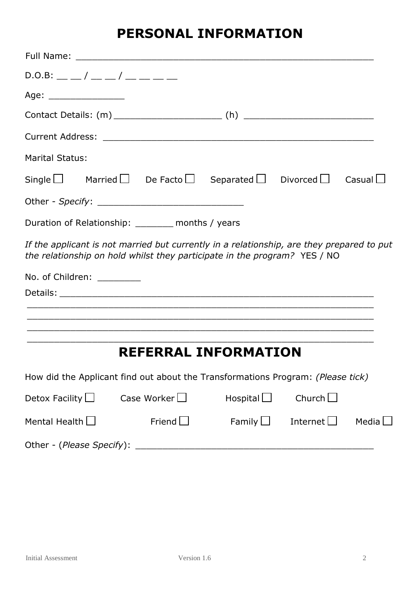### **PERSONAL INFORMATION**

| Full Name:                    |                                                                                                                                                                        |                  |                 |              |
|-------------------------------|------------------------------------------------------------------------------------------------------------------------------------------------------------------------|------------------|-----------------|--------------|
| $D.0.B:$ __ _/ __ _/ __ _ _ _ |                                                                                                                                                                        |                  |                 |              |
| Age: ___________________      |                                                                                                                                                                        |                  |                 |              |
|                               |                                                                                                                                                                        |                  |                 |              |
|                               |                                                                                                                                                                        |                  |                 |              |
| <b>Marital Status:</b>        |                                                                                                                                                                        |                  |                 |              |
|                               | Single $\Box$ Married $\Box$ De Facto $\Box$ Separated $\Box$ Divorced $\Box$ Casual $\Box$                                                                            |                  |                 |              |
|                               |                                                                                                                                                                        |                  |                 |              |
|                               | Duration of Relationship: _______ months / years                                                                                                                       |                  |                 |              |
|                               | If the applicant is not married but currently in a relationship, are they prepared to put<br>the relationship on hold whilst they participate in the program? YES / NO |                  |                 |              |
| No. of Children:              |                                                                                                                                                                        |                  |                 |              |
|                               |                                                                                                                                                                        |                  |                 |              |
|                               |                                                                                                                                                                        |                  |                 |              |
|                               |                                                                                                                                                                        |                  |                 |              |
|                               | <b>REFERRAL INFORMATION</b>                                                                                                                                            |                  |                 |              |
|                               | How did the Applicant find out about the Transformations Program: (Please tick)                                                                                        |                  |                 |              |
| Detox Facility $\Box$         | Case Worker $\square$                                                                                                                                                  | Hospital $\Box$  | Church $\Box$   |              |
| Mental Health $\Box$          | Friend $\Box$                                                                                                                                                          | Family $\square$ | Internet $\Box$ | Media $\Box$ |
|                               |                                                                                                                                                                        |                  |                 |              |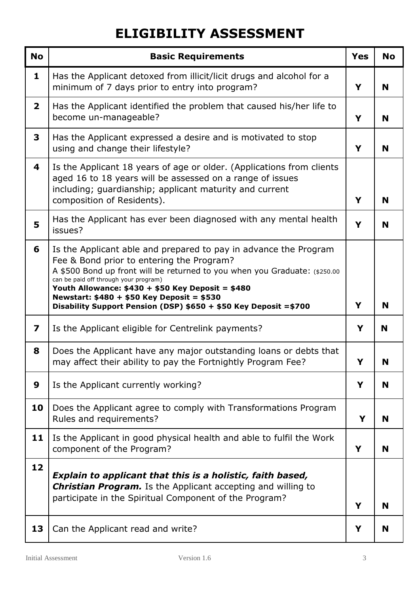## **ELIGIBILITY ASSESSMENT**

| <b>No</b>      | <b>Basic Requirements</b>                                                                                                                                                                                                                                                                                                                                                                                    | <b>Yes</b> | <b>No</b> |
|----------------|--------------------------------------------------------------------------------------------------------------------------------------------------------------------------------------------------------------------------------------------------------------------------------------------------------------------------------------------------------------------------------------------------------------|------------|-----------|
| $\mathbf{1}$   | Has the Applicant detoxed from illicit/licit drugs and alcohol for a<br>minimum of 7 days prior to entry into program?                                                                                                                                                                                                                                                                                       | Y          | N         |
| $\overline{2}$ | Has the Applicant identified the problem that caused his/her life to<br>become un-manageable?                                                                                                                                                                                                                                                                                                                | Y          | N         |
| 3              | Has the Applicant expressed a desire and is motivated to stop<br>using and change their lifestyle?                                                                                                                                                                                                                                                                                                           | Y          | N         |
| 4              | Is the Applicant 18 years of age or older. (Applications from clients<br>aged 16 to 18 years will be assessed on a range of issues<br>including; guardianship; applicant maturity and current<br>composition of Residents).                                                                                                                                                                                  | Y          | N         |
| 5              | Has the Applicant has ever been diagnosed with any mental health<br>issues?                                                                                                                                                                                                                                                                                                                                  | Y          | N         |
| 6              | Is the Applicant able and prepared to pay in advance the Program<br>Fee & Bond prior to entering the Program?<br>A \$500 Bond up front will be returned to you when you Graduate: (\$250.00<br>can be paid off through your program)<br>Youth Allowance: $$430 + $50$ Key Deposit = \$480<br>Newstart: $$480 + $50$ Key Deposit = \$530<br>Disability Support Pension (DSP) \$650 + \$50 Key Deposit = \$700 | Y          | N         |
| 7              | Is the Applicant eligible for Centrelink payments?                                                                                                                                                                                                                                                                                                                                                           | Y          | N         |
| 8              | Does the Applicant have any major outstanding loans or debts that<br>may affect their ability to pay the Fortnightly Program Fee?                                                                                                                                                                                                                                                                            | Y          | IV        |
| 9              | Is the Applicant currently working?                                                                                                                                                                                                                                                                                                                                                                          | Y          | N         |
| 10             | Does the Applicant agree to comply with Transformations Program<br>Rules and requirements?                                                                                                                                                                                                                                                                                                                   | Y          | N         |
| 11             | Is the Applicant in good physical health and able to fulfil the Work<br>component of the Program?                                                                                                                                                                                                                                                                                                            | Y          | N         |
| 12             | Explain to applicant that this is a holistic, faith based,<br><b>Christian Program.</b> Is the Applicant accepting and willing to<br>participate in the Spiritual Component of the Program?                                                                                                                                                                                                                  | Y          | N         |
| 13             | Can the Applicant read and write?                                                                                                                                                                                                                                                                                                                                                                            | Y          | N         |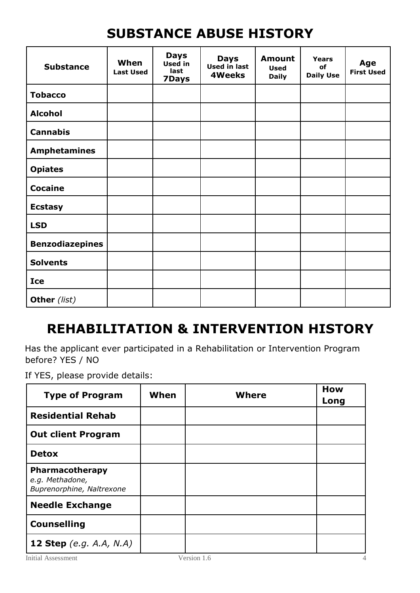## **SUBSTANCE ABUSE HISTORY**

| <b>Substance</b>       | When<br><b>Last Used</b> | <b>Days</b><br>Used in<br>last<br>7Days | <b>Days</b><br>Used in last<br><b>4Weeks</b> | <b>Amount</b><br><b>Used</b><br><b>Daily</b> | <b>Years</b><br>of<br><b>Daily Use</b> | Age<br><b>First Used</b> |
|------------------------|--------------------------|-----------------------------------------|----------------------------------------------|----------------------------------------------|----------------------------------------|--------------------------|
| <b>Tobacco</b>         |                          |                                         |                                              |                                              |                                        |                          |
| <b>Alcohol</b>         |                          |                                         |                                              |                                              |                                        |                          |
| <b>Cannabis</b>        |                          |                                         |                                              |                                              |                                        |                          |
| <b>Amphetamines</b>    |                          |                                         |                                              |                                              |                                        |                          |
| <b>Opiates</b>         |                          |                                         |                                              |                                              |                                        |                          |
| <b>Cocaine</b>         |                          |                                         |                                              |                                              |                                        |                          |
| <b>Ecstasy</b>         |                          |                                         |                                              |                                              |                                        |                          |
| <b>LSD</b>             |                          |                                         |                                              |                                              |                                        |                          |
| <b>Benzodiazepines</b> |                          |                                         |                                              |                                              |                                        |                          |
| <b>Solvents</b>        |                          |                                         |                                              |                                              |                                        |                          |
| <b>Ice</b>             |                          |                                         |                                              |                                              |                                        |                          |
| Other (list)           |                          |                                         |                                              |                                              |                                        |                          |

#### **REHABILITATION & INTERVENTION HISTORY**

Has the applicant ever participated in a Rehabilitation or Intervention Program before? YES / NO

If YES, please provide details:

| <b>Type of Program</b>                                          | When | <b>Where</b> | <b>How</b><br>Long |
|-----------------------------------------------------------------|------|--------------|--------------------|
| <b>Residential Rehab</b>                                        |      |              |                    |
| <b>Out client Program</b>                                       |      |              |                    |
| <b>Detox</b>                                                    |      |              |                    |
| Pharmacotherapy<br>e.g. Methadone,<br>Buprenorphine, Naltrexone |      |              |                    |
| <b>Needle Exchange</b>                                          |      |              |                    |
| <b>Counselling</b>                                              |      |              |                    |
| <b>12 Step</b> (e.g. A.A, N.A)                                  |      |              |                    |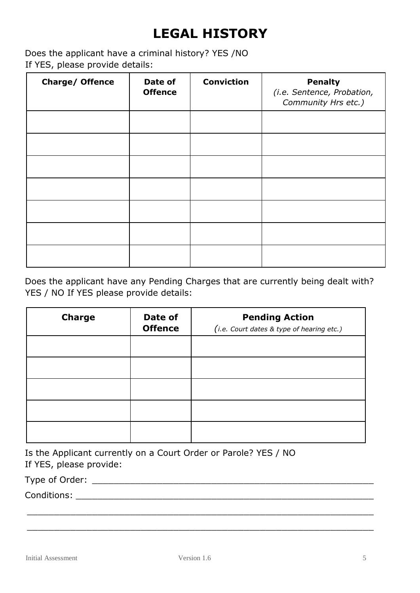## **LEGAL HISTORY**

Does the applicant have a criminal history? YES /NO If YES, please provide details:

| Charge/ Offence | Date of<br><b>Offence</b> | <b>Conviction</b> | <b>Penalty</b><br>(i.e. Sentence, Probation,<br>Community Hrs etc.) |
|-----------------|---------------------------|-------------------|---------------------------------------------------------------------|
|                 |                           |                   |                                                                     |
|                 |                           |                   |                                                                     |
|                 |                           |                   |                                                                     |
|                 |                           |                   |                                                                     |
|                 |                           |                   |                                                                     |
|                 |                           |                   |                                                                     |
|                 |                           |                   |                                                                     |

Does the applicant have any Pending Charges that are currently being dealt with? YES / NO If YES please provide details:

| <b>Charge</b> | Date of<br><b>Offence</b> | <b>Pending Action</b><br>(i.e. Court dates & type of hearing etc.) |
|---------------|---------------------------|--------------------------------------------------------------------|
|               |                           |                                                                    |
|               |                           |                                                                    |
|               |                           |                                                                    |
|               |                           |                                                                    |
|               |                           |                                                                    |

|                         | Is the Applicant currently on a Court Order or Parole? YES / NO |
|-------------------------|-----------------------------------------------------------------|
| If YES, please provide: |                                                                 |

Type of Order: \_\_\_\_\_\_\_\_\_\_\_\_\_\_\_\_\_\_\_\_\_\_\_\_\_\_\_\_\_\_\_\_\_\_\_\_\_\_\_\_\_\_\_\_\_\_\_\_\_\_\_\_

Conditions:

\_\_\_\_\_\_\_\_\_\_\_\_\_\_\_\_\_\_\_\_\_\_\_\_\_\_\_\_\_\_\_\_\_\_\_\_\_\_\_\_\_\_\_\_\_\_\_\_\_\_\_\_\_\_\_\_\_\_\_\_\_\_\_\_

\_\_\_\_\_\_\_\_\_\_\_\_\_\_\_\_\_\_\_\_\_\_\_\_\_\_\_\_\_\_\_\_\_\_\_\_\_\_\_\_\_\_\_\_\_\_\_\_\_\_\_\_\_\_\_\_\_\_\_\_\_\_\_\_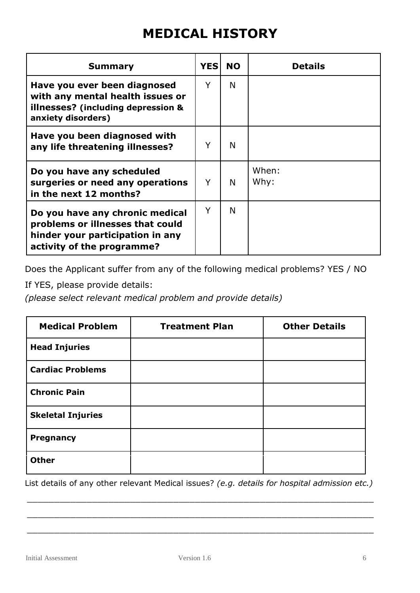#### **MEDICAL HISTORY**

| <b>Summary</b>                                                                                                                        | <b>YES</b> | <b>NO</b> | <b>Details</b> |
|---------------------------------------------------------------------------------------------------------------------------------------|------------|-----------|----------------|
| Have you ever been diagnosed<br>with any mental health issues or<br>illnesses? (including depression &<br>anxiety disorders)          | Y          | N         |                |
| Have you been diagnosed with<br>any life threatening illnesses?                                                                       | Y          | N         |                |
| Do you have any scheduled<br>surgeries or need any operations<br>in the next 12 months?                                               | Y          | N         | When:<br>Why:  |
| Do you have any chronic medical<br>problems or illnesses that could<br>hinder your participation in any<br>activity of the programme? | Y          | N         |                |

Does the Applicant suffer from any of the following medical problems? YES / NO

If YES, please provide details:

*(please select relevant medical problem and provide details)*

| <b>Medical Problem</b>   | <b>Treatment Plan</b> | <b>Other Details</b> |
|--------------------------|-----------------------|----------------------|
| <b>Head Injuries</b>     |                       |                      |
| <b>Cardiac Problems</b>  |                       |                      |
| <b>Chronic Pain</b>      |                       |                      |
| <b>Skeletal Injuries</b> |                       |                      |
| <b>Pregnancy</b>         |                       |                      |
| <b>Other</b>             |                       |                      |

List details of any other relevant Medical issues? *(e.g. details for hospital admission etc.)*

\_\_\_\_\_\_\_\_\_\_\_\_\_\_\_\_\_\_\_\_\_\_\_\_\_\_\_\_\_\_\_\_\_\_\_\_\_\_\_\_\_\_\_\_\_\_\_\_\_\_\_\_\_\_\_\_\_\_\_\_\_\_\_\_

\_\_\_\_\_\_\_\_\_\_\_\_\_\_\_\_\_\_\_\_\_\_\_\_\_\_\_\_\_\_\_\_\_\_\_\_\_\_\_\_\_\_\_\_\_\_\_\_\_\_\_\_\_\_\_\_\_\_\_\_\_\_\_\_

\_\_\_\_\_\_\_\_\_\_\_\_\_\_\_\_\_\_\_\_\_\_\_\_\_\_\_\_\_\_\_\_\_\_\_\_\_\_\_\_\_\_\_\_\_\_\_\_\_\_\_\_\_\_\_\_\_\_\_\_\_\_\_\_